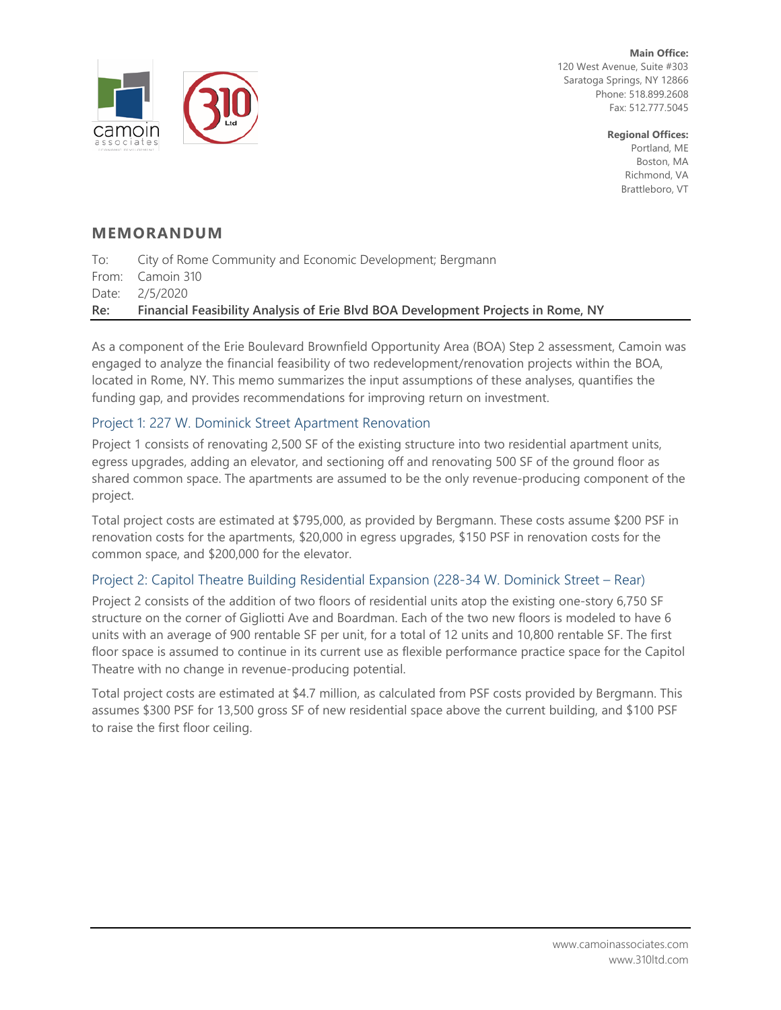

**Main Office:** 120 West Avenue, Suite #303 Saratoga Springs, NY 12866 Phone: 518.899.2608 Fax: 512.777.5045

> **Regional Offices:**  Portland, ME Boston, MA Richmond, VA Brattleboro, VT

# **MEMORANDUM**

To: City of Rome Community and Economic Development; Bergmann From: Camoin 310 Date: 2/5/2020 **Re: Financial Feasibility Analysis of Erie Blvd BOA Development Projects in Rome, NY**

As a component of the Erie Boulevard Brownfield Opportunity Area (BOA) Step 2 assessment, Camoin was engaged to analyze the financial feasibility of two redevelopment/renovation projects within the BOA, located in Rome, NY. This memo summarizes the input assumptions of these analyses, quantifies the funding gap, and provides recommendations for improving return on investment.

# Project 1: 227 W. Dominick Street Apartment Renovation

Project 1 consists of renovating 2,500 SF of the existing structure into two residential apartment units, egress upgrades, adding an elevator, and sectioning off and renovating 500 SF of the ground floor as shared common space. The apartments are assumed to be the only revenue-producing component of the project.

Total project costs are estimated at \$795,000, as provided by Bergmann. These costs assume \$200 PSF in renovation costs for the apartments, \$20,000 in egress upgrades, \$150 PSF in renovation costs for the common space, and \$200,000 for the elevator.

# Project 2: Capitol Theatre Building Residential Expansion (228-34 W. Dominick Street – Rear)

Project 2 consists of the addition of two floors of residential units atop the existing one-story 6,750 SF structure on the corner of Gigliotti Ave and Boardman. Each of the two new floors is modeled to have 6 units with an average of 900 rentable SF per unit, for a total of 12 units and 10,800 rentable SF. The first floor space is assumed to continue in its current use as flexible performance practice space for the Capitol Theatre with no change in revenue-producing potential.

Total project costs are estimated at \$4.7 million, as calculated from PSF costs provided by Bergmann. This assumes \$300 PSF for 13,500 gross SF of new residential space above the current building, and \$100 PSF to raise the first floor ceiling.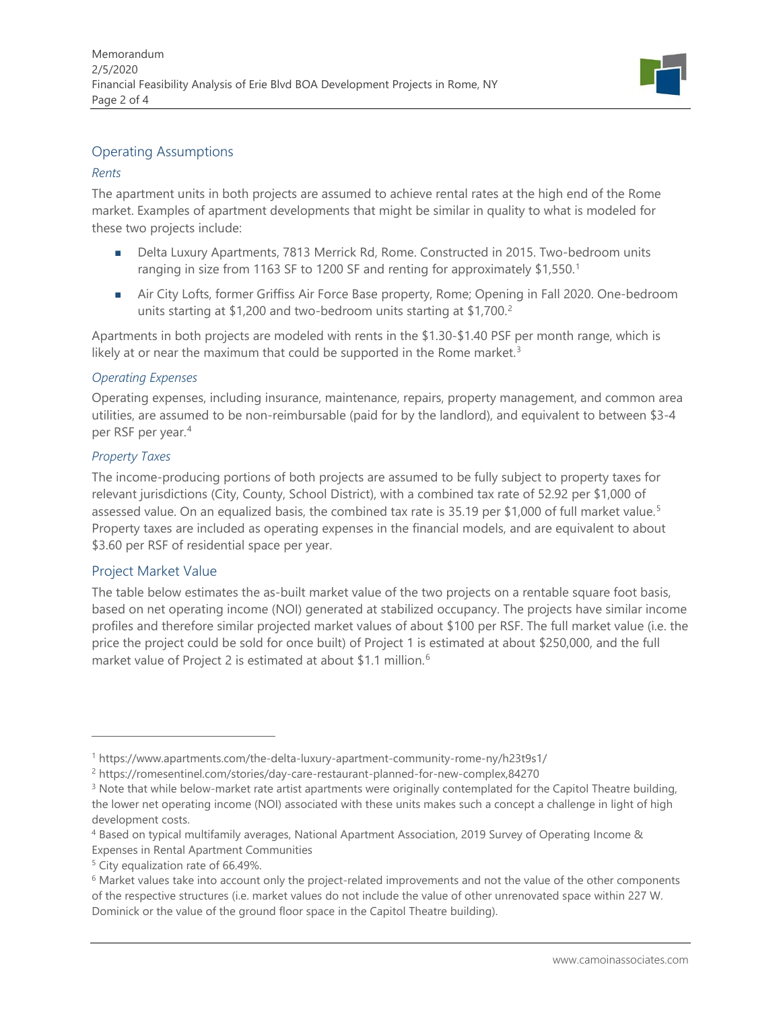

## Operating Assumptions

### *Rents*

The apartment units in both projects are assumed to achieve rental rates at the high end of the Rome market. Examples of apartment developments that might be similar in quality to what is modeled for these two projects include:

- Delta Luxury Apartments, 7813 Merrick Rd, Rome. Constructed in 2015. Two-bedroom units ranging in size from [1](#page-1-0)163 SF to 1200 SF and renting for approximately \$1,550.<sup>1</sup>
- **Air City Lofts, former Griffiss Air Force Base property, Rome; Opening in Fall 2020. One-bedroom** units starting at \$1,[2](#page-1-1)00 and two-bedroom units starting at \$1,700.<sup>2</sup>

Apartments in both projects are modeled with rents in the \$1.30-\$1.40 PSF per month range, which is likely at or near the maximum that could be supported in the Rome market.<sup>[3](#page-1-2)</sup>

#### *Operating Expenses*

Operating expenses, including insurance, maintenance, repairs, property management, and common area utilities, are assumed to be non-reimbursable (paid for by the landlord), and equivalent to between \$3-4 per RSF per year. [4](#page-1-3)

#### *Property Taxes*

The income-producing portions of both projects are assumed to be fully subject to property taxes for relevant jurisdictions (City, County, School District), with a combined tax rate of 52.92 per \$1,000 of assessed value. On an equalized basis, the combined tax rate is 3[5](#page-1-4).19 per \$1,000 of full market value.<sup>5</sup> Property taxes are included as operating expenses in the financial models, and are equivalent to about \$3.60 per RSF of residential space per year.

### Project Market Value

The table below estimates the as-built market value of the two projects on a rentable square foot basis, based on net operating income (NOI) generated at stabilized occupancy. The projects have similar income profiles and therefore similar projected market values of about \$100 per RSF. The full market value (i.e. the price the project could be sold for once built) of Project 1 is estimated at about \$250,000, and the full market value of Project 2 is estimated at about \$1.1 million.<sup>[6](#page-1-5)</sup>

<span id="page-1-0"></span><sup>1</sup> https://www.apartments.com/the-delta-luxury-apartment-community-rome-ny/h23t9s1/

<span id="page-1-1"></span><sup>2</sup> https://romesentinel.com/stories/day-care-restaurant-planned-for-new-complex,84270

<span id="page-1-2"></span><sup>&</sup>lt;sup>3</sup> Note that while below-market rate artist apartments were originally contemplated for the Capitol Theatre building, the lower net operating income (NOI) associated with these units makes such a concept a challenge in light of high development costs.

<span id="page-1-3"></span><sup>4</sup> Based on typical multifamily averages, National Apartment Association, 2019 Survey of Operating Income & Expenses in Rental Apartment Communities

<span id="page-1-4"></span><sup>&</sup>lt;sup>5</sup> City equalization rate of 66.49%.

<span id="page-1-5"></span><sup>&</sup>lt;sup>6</sup> Market values take into account only the project-related improvements and not the value of the other components of the respective structures (i.e. market values do not include the value of other unrenovated space within 227 W. Dominick or the value of the ground floor space in the Capitol Theatre building).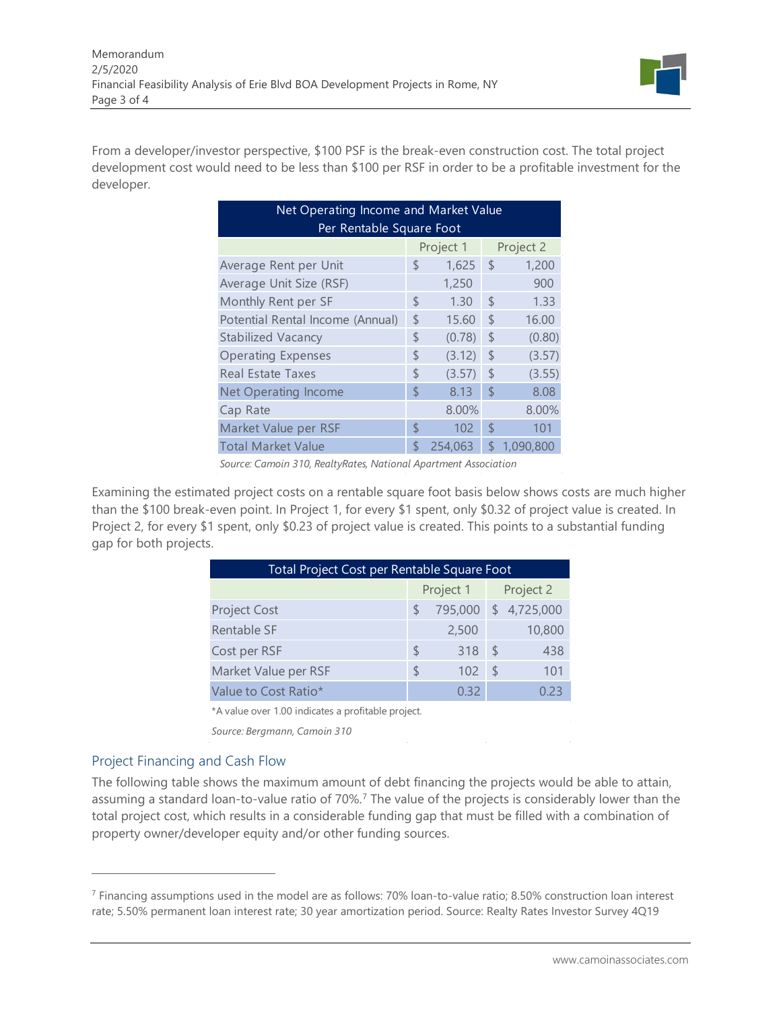

From a developer/investor perspective, \$100 PSF is the break-even construction cost. The total project development cost would need to be less than \$100 per RSF in order to be a profitable investment for the developer.

| Net Operating Income and Market Value |    |         |               |           |  |  |  |  |  |  |  |  |  |  |
|---------------------------------------|----|---------|---------------|-----------|--|--|--|--|--|--|--|--|--|--|
| Per Rentable Square Foot              |    |         |               |           |  |  |  |  |  |  |  |  |  |  |
| Project 2<br>Project 1                |    |         |               |           |  |  |  |  |  |  |  |  |  |  |
| Average Rent per Unit                 | \$ | 1,625   | $\mathcal{S}$ | 1,200     |  |  |  |  |  |  |  |  |  |  |
| Average Unit Size (RSF)               |    | 1,250   |               | 900       |  |  |  |  |  |  |  |  |  |  |
| Monthly Rent per SF                   | \$ | 1.30    | $\mathsf S$   | 1.33      |  |  |  |  |  |  |  |  |  |  |
| Potential Rental Income (Annual)      | \$ | 15.60   | $\mathcal{S}$ | 16.00     |  |  |  |  |  |  |  |  |  |  |
| Stabilized Vacancy                    | \$ | (0.78)  | $\mathsf{\$}$ | (0.80)    |  |  |  |  |  |  |  |  |  |  |
| <b>Operating Expenses</b>             | \$ | (3.12)  | $\mathsf{\$}$ | (3.57)    |  |  |  |  |  |  |  |  |  |  |
| Real Estate Taxes                     | \$ | (3.57)  | $\mathsf S$   | (3.55)    |  |  |  |  |  |  |  |  |  |  |
| <b>Net Operating Income</b>           | \$ | 8.13    | \$            | 8.08      |  |  |  |  |  |  |  |  |  |  |
| Cap Rate                              |    | 8.00%   |               | 8.00%     |  |  |  |  |  |  |  |  |  |  |
| Market Value per RSF                  | \$ | 102     | $\mathcal{S}$ | 101       |  |  |  |  |  |  |  |  |  |  |
| <b>Total Market Value</b>             | \$ | 254,063 | \$            | 1,090,800 |  |  |  |  |  |  |  |  |  |  |

*Source: Camoin 310, RealtyRates, National Apartment Association*

Examining the estimated project costs on a rentable square foot basis below shows costs are much higher than the \$100 break-even point. In Project 1, for every \$1 spent, only \$0.32 of project value is created. In Project 2, for every \$1 spent, only \$0.23 of project value is created. This points to a substantial funding gap for both projects.

| <b>Total Project Cost per Rentable Square Foot</b> |       |               |           |  |  |  |  |  |  |  |  |  |  |
|----------------------------------------------------|-------|---------------|-----------|--|--|--|--|--|--|--|--|--|--|
|                                                    |       | Project 2     |           |  |  |  |  |  |  |  |  |  |  |
|                                                    |       | -S            | 4,725,000 |  |  |  |  |  |  |  |  |  |  |
|                                                    | 2,500 |               | 10,800    |  |  |  |  |  |  |  |  |  |  |
| <sup>5</sup>                                       | 318   | $\mathcal{S}$ | 438       |  |  |  |  |  |  |  |  |  |  |
| $\mathcal{L}$                                      | 102   | $\mathcal{L}$ | 101       |  |  |  |  |  |  |  |  |  |  |
|                                                    | 0.32  |               | 0.23      |  |  |  |  |  |  |  |  |  |  |
|                                                    |       | Project 1     | 795,000   |  |  |  |  |  |  |  |  |  |  |

\*A value over 1.00 indicates a profitable project.

*Source: Bergmann, Camoin 310*

## Project Financing and Cash Flow

The following table shows the maximum amount of debt financing the projects would be able to attain, assuming a standard loan-to-value ratio of [7](#page-2-0)0%.<sup>7</sup> The value of the projects is considerably lower than the total project cost, which results in a considerable funding gap that must be filled with a combination of property owner/developer equity and/or other funding sources.

<span id="page-2-0"></span><sup>7</sup> Financing assumptions used in the model are as follows: 70% loan-to-value ratio; 8.50% construction loan interest rate; 5.50% permanent loan interest rate; 30 year amortization period. Source: Realty Rates Investor Survey 4Q19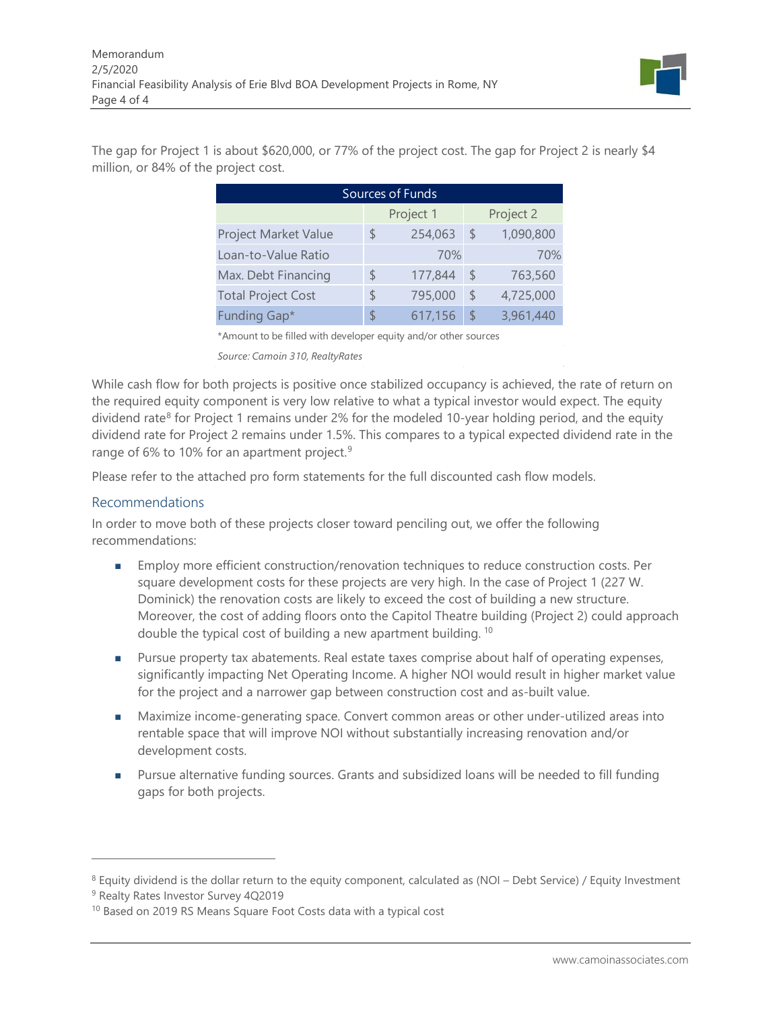

The gap for Project 1 is about \$620,000, or 77% of the project cost. The gap for Project 2 is nearly \$4 million, or 84% of the project cost.

| Sources of Funds          |    |           |               |           |  |  |  |  |  |  |  |  |
|---------------------------|----|-----------|---------------|-----------|--|--|--|--|--|--|--|--|
|                           |    | Project 1 |               | Project 2 |  |  |  |  |  |  |  |  |
| Project Market Value      | \$ | 254,063   | $\mathsf{\$}$ | 1,090,800 |  |  |  |  |  |  |  |  |
| Loan-to-Value Ratio       |    | 70%       |               | 70%       |  |  |  |  |  |  |  |  |
| Max. Debt Financing       | S  | 177,844   | S             | 763,560   |  |  |  |  |  |  |  |  |
| <b>Total Project Cost</b> | \$ | 795,000   | $\mathcal{L}$ | 4,725,000 |  |  |  |  |  |  |  |  |
| Funding Gap*              | \$ | 617,156   | $\mathcal{S}$ | 3,961,440 |  |  |  |  |  |  |  |  |

\*Amount to be filled with developer equity and/or other sources

*Source: Camoin 310, RealtyRates*

While cash flow for both projects is positive once stabilized occupancy is achieved, the rate of return on the required equity component is very low relative to what a typical investor would expect. The equity dividend rate<sup>[8](#page-3-0)</sup> for Project 1 remains under 2% for the modeled 10-year holding period, and the equity dividend rate for Project 2 remains under 1.5%. This compares to a typical expected dividend rate in the range of 6% to 10% for an apartment project.<sup>[9](#page-3-1)</sup>

Please refer to the attached pro form statements for the full discounted cash flow models.

#### Recommendations

In order to move both of these projects closer toward penciling out, we offer the following recommendations:

- **Employ more efficient construction/renovation techniques to reduce construction costs. Per** square development costs for these projects are very high. In the case of Project 1 (227 W. Dominick) the renovation costs are likely to exceed the cost of building a new structure. Moreover, the cost of adding floors onto the Capitol Theatre building (Project 2) could approach double the typical cost of building a new apartment building. [10](#page-3-2)
- **Pursue property tax abatements. Real estate taxes comprise about half of operating expenses,** significantly impacting Net Operating Income. A higher NOI would result in higher market value for the project and a narrower gap between construction cost and as-built value.
- Maximize income-generating space. Convert common areas or other under-utilized areas into rentable space that will improve NOI without substantially increasing renovation and/or development costs.
- **Pursue alternative funding sources. Grants and subsidized loans will be needed to fill funding** gaps for both projects.

<span id="page-3-0"></span><sup>8</sup> Equity dividend is the dollar return to the equity component, calculated as (NOI – Debt Service) / Equity Investment

<span id="page-3-1"></span><sup>&</sup>lt;sup>9</sup> Realty Rates Investor Survey 4Q2019

<span id="page-3-2"></span><sup>&</sup>lt;sup>10</sup> Based on 2019 RS Means Square Foot Costs data with a typical cost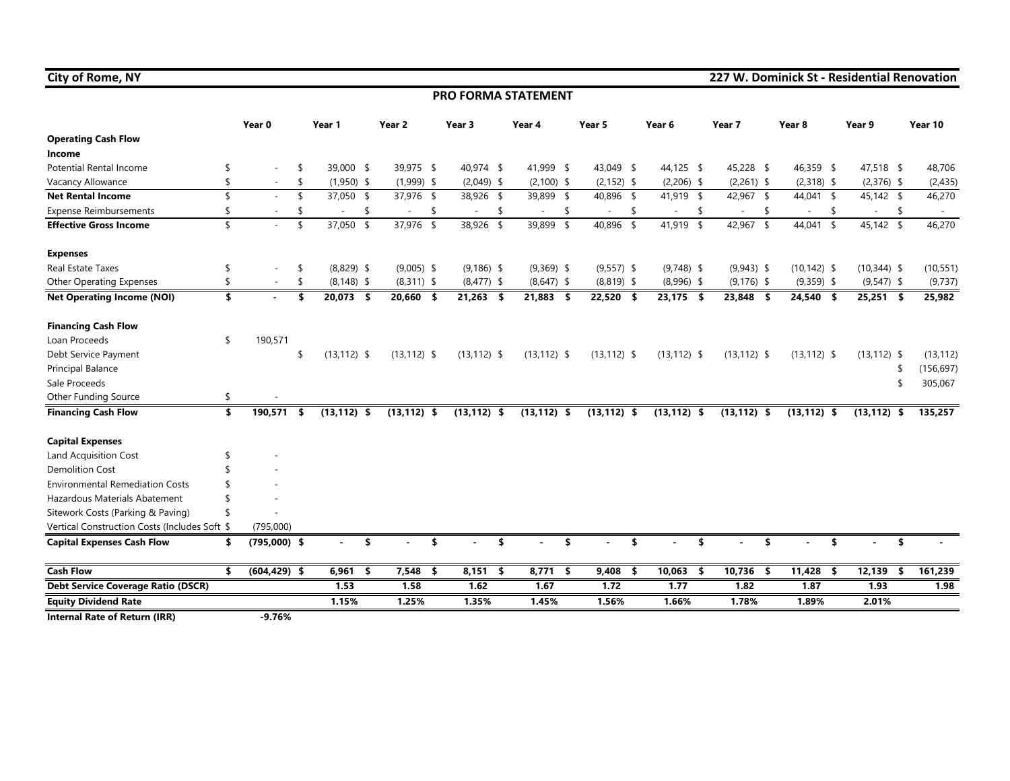#### **PRO FORMA STATEMENT**

|                                               |                    | Year 0          | Year 1                         | Year <sub>2</sub> |     | Year 3               | Year 4         | Year 5                         | Year 6                         | Year 7 |                | Year 8               | Year 9                   |     | Year 10    |
|-----------------------------------------------|--------------------|-----------------|--------------------------------|-------------------|-----|----------------------|----------------|--------------------------------|--------------------------------|--------|----------------|----------------------|--------------------------|-----|------------|
| <b>Operating Cash Flow</b>                    |                    |                 |                                |                   |     |                      |                |                                |                                |        |                |                      |                          |     |            |
| Income                                        |                    |                 |                                |                   |     |                      |                |                                |                                |        |                |                      |                          |     |            |
| <b>Potential Rental Income</b>                | \$                 |                 | 39,000 \$                      | 39,975 \$         |     | 40,974 \$            | 41,999 \$      | 43,049 \$                      | 44,125 \$                      |        | 45,228 \$      | 46,359 \$            | 47,518 \$                |     | 48,706     |
| Vacancy Allowance                             | \$                 |                 | \$<br>$(1,950)$ \$             | $(1,999)$ \$      |     | $(2,049)$ \$         | $(2,100)$ \$   | $(2, 152)$ \$                  | $(2,206)$ \$                   |        | $(2,261)$ \$   | $(2,318)$ \$         | $(2,376)$ \$             |     | (2, 435)   |
| <b>Net Rental Income</b>                      | $\mathbf{\hat{S}}$ |                 | \$<br>37,050 \$                | 37,976 \$         |     | 38,926 \$            | 39,899 \$      | 40,896 \$                      | 41,919 \$                      |        | 42,967 \$      | 44,041 \$            | 45,142 \$                |     | 46,270     |
| <b>Expense Reimbursements</b>                 |                    |                 | \$<br>$\overline{\phantom{a}}$ | $\sim$            | \$  | \$<br>$\blacksquare$ | \$<br>$\sim$   | \$<br>$\overline{\phantom{a}}$ | \$<br>$\overline{\phantom{a}}$ |        | $\sim$         | \$<br>\$<br>$\sim$   | $\overline{\phantom{a}}$ | -\$ | $\sim$     |
| <b>Effective Gross Income</b>                 | $\mathsf{\$}$      |                 | \$<br>37,050<br>$\sqrt{2}$     | 37,976 \$         |     | 38,926<br>$\sqrt{2}$ | 39,899 \$      | 40,896<br>\$                   | 41,919 \$                      |        | 42,967 \$      | 44,041 \$            | 45,142 \$                |     | 46,270     |
| <b>Expenses</b>                               |                    |                 |                                |                   |     |                      |                |                                |                                |        |                |                      |                          |     |            |
| Real Estate Taxes                             | \$                 |                 | \$<br>$(8,829)$ \$             | $(9,005)$ \$      |     | $(9, 186)$ \$        | $(9,369)$ \$   | $(9,557)$ \$                   | $(9,748)$ \$                   |        | $(9,943)$ \$   | $(10, 142)$ \$       | $(10,344)$ \$            |     | (10, 551)  |
| <b>Other Operating Expenses</b>               | \$                 |                 | \$<br>$(8, 148)$ \$            | $(8,311)$ \$      |     | $(8,477)$ \$         | $(8,647)$ \$   | $(8,819)$ \$                   | $(8,996)$ \$                   |        | $(9, 176)$ \$  | $(9,359)$ \$         | $(9,547)$ \$             |     | (9, 737)   |
| <b>Net Operating Income (NOI)</b>             | \$                 |                 | \$<br>20,073 \$                | 20,660 \$         |     | $21,263$ \$          | 21,883 \$      | $22,520$ \$                    | 23,175 \$                      |        | 23,848 \$      | 24,540 \$            | $25,251$ \$              |     | 25,982     |
| <b>Financing Cash Flow</b>                    |                    |                 |                                |                   |     |                      |                |                                |                                |        |                |                      |                          |     |            |
| Loan Proceeds                                 | \$                 | 190,571         |                                |                   |     |                      |                |                                |                                |        |                |                      |                          |     |            |
| Debt Service Payment                          |                    |                 | \$<br>$(13, 112)$ \$           | $(13, 112)$ \$    |     | $(13, 112)$ \$       | $(13, 112)$ \$ | $(13, 112)$ \$                 | $(13, 112)$ \$                 |        | $(13, 112)$ \$ | $(13, 112)$ \$       | $(13, 112)$ \$           |     | (13, 112)  |
| Principal Balance                             |                    |                 |                                |                   |     |                      |                |                                |                                |        |                |                      |                          | S   | (156, 697) |
| Sale Proceeds                                 |                    |                 |                                |                   |     |                      |                |                                |                                |        |                |                      |                          | \$  | 305,067    |
| Other Funding Source                          | \$                 |                 |                                |                   |     |                      |                |                                |                                |        |                |                      |                          |     |            |
| <b>Financing Cash Flow</b>                    | \$                 | 190,571         | \$<br>$(13, 112)$ \$           | $(13, 112)$ \$    |     | $(13, 112)$ \$       | $(13, 112)$ \$ | $(13, 112)$ \$                 | $(13, 112)$ \$                 |        | $(13, 112)$ \$ | $(13, 112)$ \$       | $(13, 112)$ \$           |     | 135,257    |
| <b>Capital Expenses</b>                       |                    |                 |                                |                   |     |                      |                |                                |                                |        |                |                      |                          |     |            |
| Land Acquisition Cost                         | S                  |                 |                                |                   |     |                      |                |                                |                                |        |                |                      |                          |     |            |
| <b>Demolition Cost</b>                        | \$                 |                 |                                |                   |     |                      |                |                                |                                |        |                |                      |                          |     |            |
| <b>Environmental Remediation Costs</b>        |                    |                 |                                |                   |     |                      |                |                                |                                |        |                |                      |                          |     |            |
| Hazardous Materials Abatement                 |                    |                 |                                |                   |     |                      |                |                                |                                |        |                |                      |                          |     |            |
| Sitework Costs (Parking & Paving)             | \$                 |                 |                                |                   |     |                      |                |                                |                                |        |                |                      |                          |     |            |
| Vertical Construction Costs (Includes Soft \$ |                    | (795,000)       |                                |                   |     |                      |                |                                |                                |        |                |                      |                          |     |            |
| <b>Capital Expenses Cash Flow</b>             | \$                 | $(795,000)$ \$  | \$                             |                   | \$  | \$                   |                | \$<br>\$                       | \$                             |        |                |                      | \$                       | \$  |            |
| <b>Cash Flow</b>                              | \$                 | $(604, 429)$ \$ | 6,961<br>-\$                   | 7,548             | -\$ | $8,151$ \$           | $8,771$ \$     | 9,408<br>$\sqrt{5}$            | $10,063$ \$                    |        | 10,736 \$      | 11,428<br>$\sqrt{5}$ | 12,139                   | \$  | 161,239    |
| <b>Debt Service Coverage Ratio (DSCR)</b>     |                    |                 | 1.53                           | 1.58              |     | 1.62                 | 1.67           | 1.72                           | 1.77                           |        | 1.82           | 1.87                 | 1.93                     |     | 1.98       |
| <b>Equity Dividend Rate</b>                   |                    |                 | 1.15%                          | 1.25%             |     | 1.35%                | 1.45%          | 1.56%                          | 1.66%                          |        | 1.78%          | 1.89%                | 2.01%                    |     |            |
| <b>Internal Rate of Return (IRR)</b>          |                    | $-9.76%$        |                                |                   |     |                      |                |                                |                                |        |                |                      |                          |     |            |